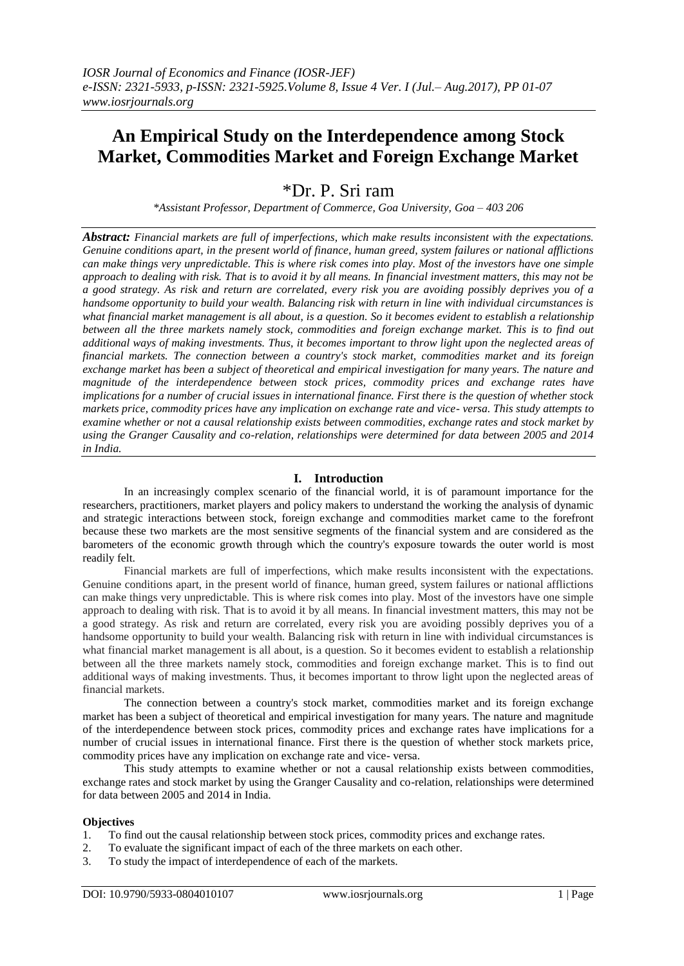# **An Empirical Study on the Interdependence among Stock Market, Commodities Market and Foreign Exchange Market**

# \*Dr. P. Sri ram

*\*Assistant Professor, Department of Commerce, Goa University, Goa – 403 206*

*Abstract: Financial markets are full of imperfections, which make results inconsistent with the expectations. Genuine conditions apart, in the present world of finance, human greed, system failures or national afflictions can make things very unpredictable. This is where risk comes into play. Most of the investors have one simple approach to dealing with risk. That is to avoid it by all means. In financial investment matters, this may not be a good strategy. As risk and return are correlated, every risk you are avoiding possibly deprives you of a handsome opportunity to build your wealth. Balancing risk with return in line with individual circumstances is what financial market management is all about, is a question. So it becomes evident to establish a relationship between all the three markets namely stock, commodities and foreign exchange market. This is to find out additional ways of making investments. Thus, it becomes important to throw light upon the neglected areas of financial markets. The connection between a country's stock market, commodities market and its foreign exchange market has been a subject of theoretical and empirical investigation for many years. The nature and magnitude of the interdependence between stock prices, commodity prices and exchange rates have implications for a number of crucial issues in international finance. First there is the question of whether stock markets price, commodity prices have any implication on exchange rate and vice- versa. This study attempts to examine whether or not a causal relationship exists between commodities, exchange rates and stock market by using the Granger Causality and co-relation, relationships were determined for data between 2005 and 2014 in India.*

# **I. Introduction**

In an increasingly complex scenario of the financial world, it is of paramount importance for the researchers, practitioners, market players and policy makers to understand the working the analysis of dynamic and strategic interactions between stock, foreign exchange and commodities market came to the forefront because these two markets are the most sensitive segments of the financial system and are considered as the barometers of the economic growth through which the country's exposure towards the outer world is most readily felt.

Financial markets are full of imperfections, which make results inconsistent with the expectations. Genuine conditions apart, in the present world of finance, human greed, system failures or national afflictions can make things very unpredictable. This is where risk comes into play. Most of the investors have one simple approach to dealing with risk. That is to avoid it by all means. In financial investment matters, this may not be a good strategy. As risk and return are correlated, every risk you are avoiding possibly deprives you of a handsome opportunity to build your wealth. Balancing risk with return in line with individual circumstances is what financial market management is all about, is a question. So it becomes evident to establish a relationship between all the three markets namely stock, commodities and foreign exchange market. This is to find out additional ways of making investments. Thus, it becomes important to throw light upon the neglected areas of financial markets.

The connection between a country's stock market, commodities market and its foreign exchange market has been a subject of theoretical and empirical investigation for many years. The nature and magnitude of the interdependence between stock prices, commodity prices and exchange rates have implications for a number of crucial issues in international finance. First there is the question of whether stock markets price, commodity prices have any implication on exchange rate and vice- versa.

This study attempts to examine whether or not a causal relationship exists between commodities, exchange rates and stock market by using the Granger Causality and co-relation, relationships were determined for data between 2005 and 2014 in India.

#### **Objectives**

- 1. To find out the causal relationship between stock prices, commodity prices and exchange rates.
- 2. To evaluate the significant impact of each of the three markets on each other.
- 3. To study the impact of interdependence of each of the markets.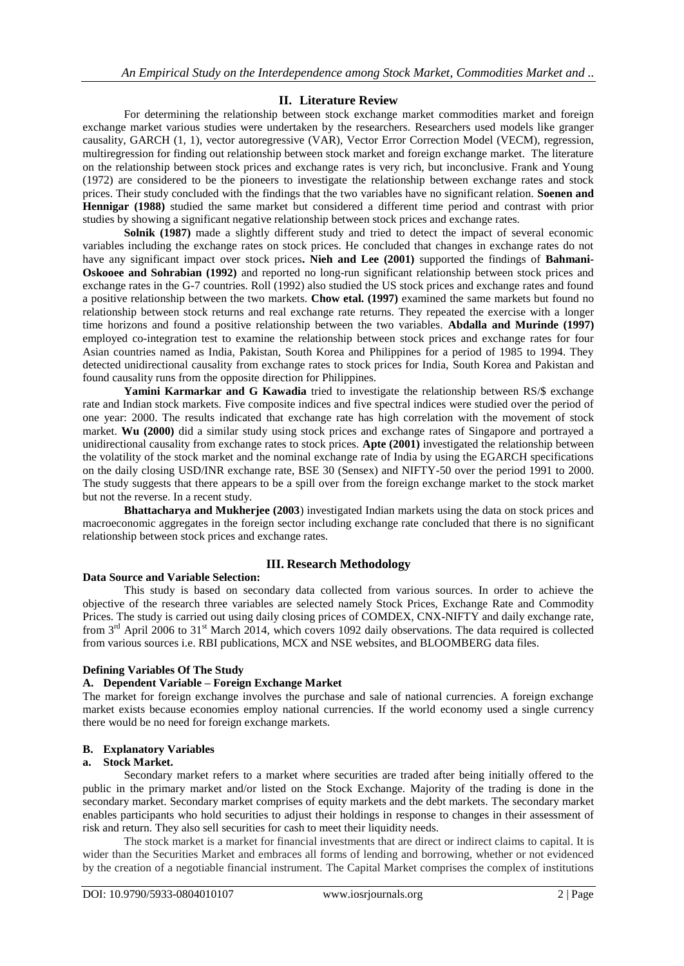# **II. Literature Review**

For determining the relationship between stock exchange market commodities market and foreign exchange market various studies were undertaken by the researchers. Researchers used models like granger causality, GARCH (1, 1), vector autoregressive (VAR), Vector Error Correction Model (VECM), regression, multiregression for finding out relationship between stock market and foreign exchange market. The literature on the relationship between stock prices and exchange rates is very rich, but inconclusive. Frank and Young (1972) are considered to be the pioneers to investigate the relationship between exchange rates and stock prices. Their study concluded with the findings that the two variables have no significant relation. **Soenen and Hennigar (1988)** studied the same market but considered a different time period and contrast with prior studies by showing a significant negative relationship between stock prices and exchange rates.

**Solnik (1987)** made a slightly different study and tried to detect the impact of several economic variables including the exchange rates on stock prices. He concluded that changes in exchange rates do not have any significant impact over stock prices**. Nieh and Lee (2001)** supported the findings of **Bahmani-Oskooee and Sohrabian (1992)** and reported no long-run significant relationship between stock prices and exchange rates in the G-7 countries. Roll (1992) also studied the US stock prices and exchange rates and found a positive relationship between the two markets. **Chow etal. (1997)** examined the same markets but found no relationship between stock returns and real exchange rate returns. They repeated the exercise with a longer time horizons and found a positive relationship between the two variables. **Abdalla and Murinde (1997)** employed co-integration test to examine the relationship between stock prices and exchange rates for four Asian countries named as India, Pakistan, South Korea and Philippines for a period of 1985 to 1994. They detected unidirectional causality from exchange rates to stock prices for India, South Korea and Pakistan and found causality runs from the opposite direction for Philippines.

**Yamini Karmarkar and G Kawadia** tried to investigate the relationship between RS/\$ exchange rate and Indian stock markets. Five composite indices and five spectral indices were studied over the period of one year: 2000. The results indicated that exchange rate has high correlation with the movement of stock market. **Wu (2000)** did a similar study using stock prices and exchange rates of Singapore and portrayed a unidirectional causality from exchange rates to stock prices. **Apte (2001)** investigated the relationship between the volatility of the stock market and the nominal exchange rate of India by using the EGARCH specifications on the daily closing USD/INR exchange rate, BSE 30 (Sensex) and NIFTY-50 over the period 1991 to 2000. The study suggests that there appears to be a spill over from the foreign exchange market to the stock market but not the reverse. In a recent study.

**Bhattacharya and Mukherjee (2003**) investigated Indian markets using the data on stock prices and macroeconomic aggregates in the foreign sector including exchange rate concluded that there is no significant relationship between stock prices and exchange rates.

# **III. Research Methodology**

#### **Data Source and Variable Selection:**

This study is based on secondary data collected from various sources. In order to achieve the objective of the research three variables are selected namely Stock Prices, Exchange Rate and Commodity Prices. The study is carried out using daily closing prices of COMDEX, CNX-NIFTY and daily exchange rate, from 3<sup>rd</sup> April 2006 to 31<sup>st</sup> March 2014, which covers 1092 daily observations. The data required is collected from various sources i.e. RBI publications, MCX and NSE websites, and BLOOMBERG data files.

#### **Defining Variables Of The Study**

# **A. Dependent Variable – Foreign Exchange Market**

The market for foreign exchange involves the purchase and sale of national currencies. A foreign exchange market exists because economies employ national currencies. If the world economy used a single currency there would be no need for foreign exchange markets.

#### **B. Explanatory Variables**

#### **a. Stock Market.**

Secondary market refers to a market where securities are traded after being initially offered to the public in the primary market and/or listed on the Stock Exchange. Majority of the trading is done in the secondary market. Secondary market comprises of equity markets and the debt markets. The secondary market enables participants who hold securities to adjust their holdings in response to changes in their assessment of risk and return. They also sell securities for cash to meet their liquidity needs.

The stock market is a market for financial investments that are direct or indirect claims to capital. It is wider than the Securities Market and embraces all forms of lending and borrowing, whether or not evidenced by the creation of a negotiable financial instrument. The Capital Market comprises the complex of institutions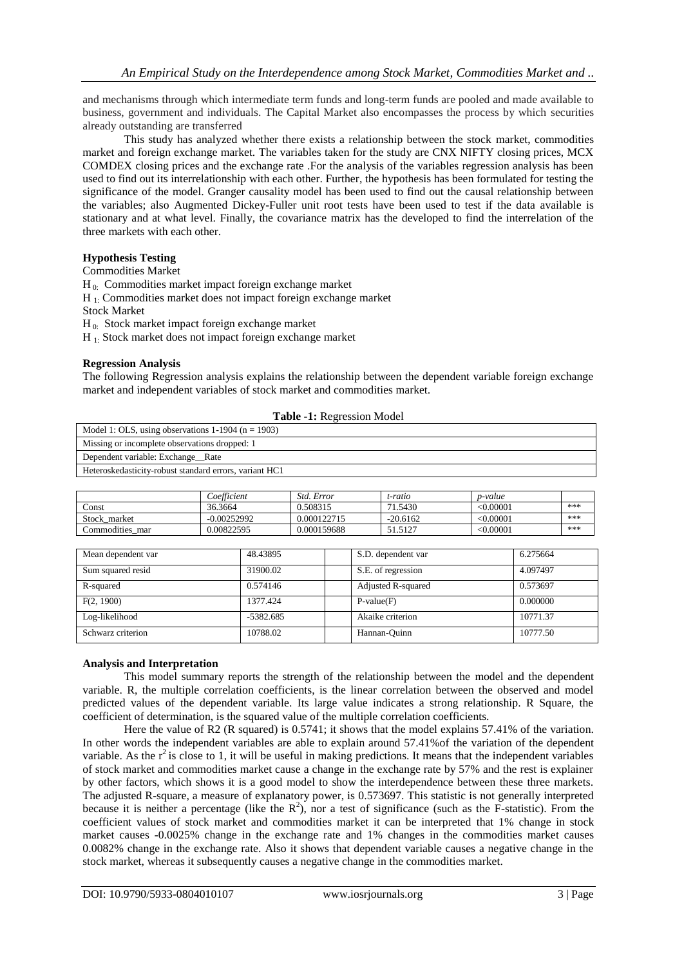and mechanisms through which intermediate term funds and long-term funds are pooled and made available to business, government and individuals. The Capital Market also encompasses the process by which securities already outstanding are transferred

This study has analyzed whether there exists a relationship between the stock market, commodities market and foreign exchange market. The variables taken for the study are CNX NIFTY closing prices, MCX COMDEX closing prices and the exchange rate .For the analysis of the variables regression analysis has been used to find out its interrelationship with each other. Further, the hypothesis has been formulated for testing the significance of the model. Granger causality model has been used to find out the causal relationship between the variables; also Augmented Dickey-Fuller unit root tests have been used to test if the data available is stationary and at what level. Finally, the covariance matrix has the developed to find the interrelation of the three markets with each other.

## **Hypothesis Testing**

Commodities Market

 $H_0$ : Commodities market impact foreign exchange market

H 1: Commodities market does not impact foreign exchange market

Stock Market

H<sub>0</sub>: Stock market impact foreign exchange market

H 1: Stock market does not impact foreign exchange market

#### **Regression Analysis**

The following Regression analysis explains the relationship between the dependent variable foreign exchange market and independent variables of stock market and commodities market.

| Model 1: OLS, using observations $1-1904$ (n = 1903)   |
|--------------------------------------------------------|
| Missing or incomplete observations dropped: 1          |
| Dependent variable: Exchange Rate                      |
| Heteroskedasticity-robust standard errors, variant HC1 |
|                                                        |

|                 | Coefficient   | Std. Error  | t-ratio    | p-value        |     |
|-----------------|---------------|-------------|------------|----------------|-----|
| Const           | 36.3664       | 0.508315    | 71.5430    | $<\!\!0.00001$ | *** |
| Stock market    | $-0.00252992$ | 0.000122715 | $-20.6162$ | $<\!\!0.00001$ | *** |
| Commodities mar | 0.00822595    | 0.000159688 | 51.5127    | $<\!\!0.00001$ | *** |

| Mean dependent var | 48.43895    | S.D. dependent var | 6.275664 |
|--------------------|-------------|--------------------|----------|
| Sum squared resid  | 31900.02    | S.E. of regression | 4.097497 |
| R-squared          | 0.574146    | Adjusted R-squared | 0.573697 |
| F(2, 1900)         | 1377.424    | $P-value(F)$       | 0.000000 |
| Log-likelihood     | $-5382.685$ | Akaike criterion   | 10771.37 |
| Schwarz criterion  | 10788.02    | Hannan-Ouinn       | 10777.50 |

#### **Analysis and Interpretation**

This model summary reports the strength of the relationship between the model and the dependent variable. R, the multiple correlation coefficients, is the linear correlation between the observed and model predicted values of the dependent variable. Its large value indicates a strong relationship. R Square, the coefficient of determination, is the squared value of the multiple correlation coefficients.

Here the value of R2 (R squared) is 0.5741; it shows that the model explains 57.41% of the variation. In other words the independent variables are able to explain around 57.41%of the variation of the dependent variable. As the  $r^2$  is close to 1, it will be useful in making predictions. It means that the independent variables of stock market and commodities market cause a change in the exchange rate by 57% and the rest is explainer by other factors, which shows it is a good model to show the interdependence between these three markets. The adjusted R-square, a measure of explanatory power, is 0.573697. This statistic is not generally interpreted because it is neither a percentage (like the  $R^2$ ), nor a test of significance (such as the F-statistic). From the coefficient values of stock market and commodities market it can be interpreted that 1% change in stock market causes -0.0025% change in the exchange rate and 1% changes in the commodities market causes 0.0082% change in the exchange rate. Also it shows that dependent variable causes a negative change in the stock market, whereas it subsequently causes a negative change in the commodities market.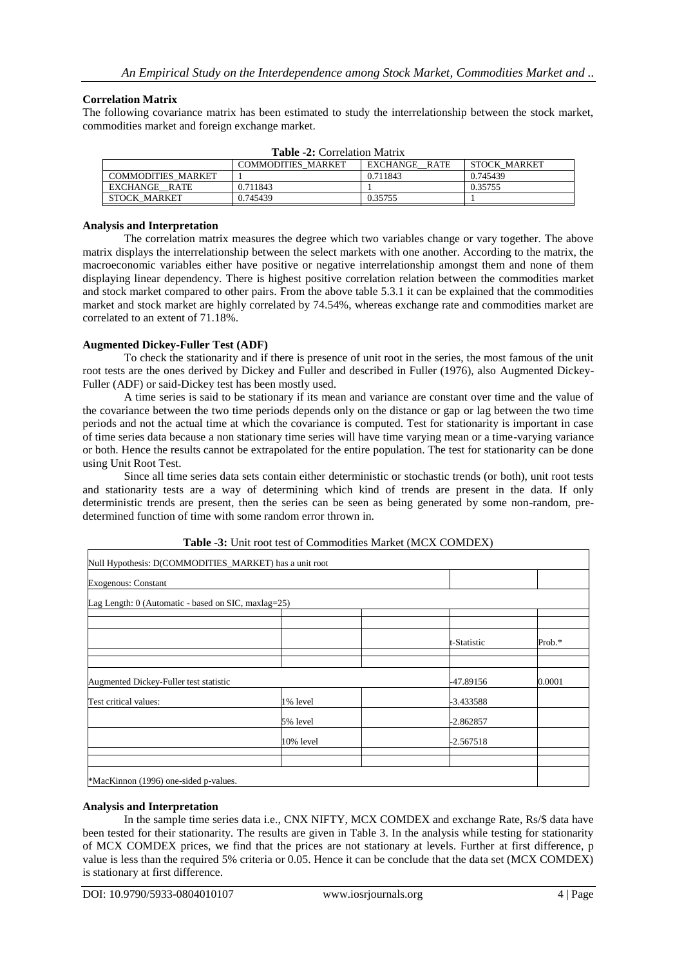#### **Correlation Matrix**

The following covariance matrix has been estimated to study the interrelationship between the stock market, commodities market and foreign exchange market.

| <b>Table -2:</b> Correlation Matrix |                           |               |                     |  |
|-------------------------------------|---------------------------|---------------|---------------------|--|
|                                     | <b>COMMODITIES MARKET</b> | EXCHANGE RATE | <b>STOCK MARKET</b> |  |
| <b>COMMODITIES MARKET</b>           |                           | 0.711843      | 0.745439            |  |
| EXCHANGE RATE                       | 0.711843                  |               | 0.35755             |  |
| STOCK MARKET                        | 0.745439                  | 0.35755       |                     |  |

**Table -2:** Correlation Matrix

#### **Analysis and Interpretation**

The correlation matrix measures the degree which two variables change or vary together. The above matrix displays the interrelationship between the select markets with one another. According to the matrix, the macroeconomic variables either have positive or negative interrelationship amongst them and none of them displaying linear dependency. There is highest positive correlation relation between the commodities market and stock market compared to other pairs. From the above table 5.3.1 it can be explained that the commodities market and stock market are highly correlated by 74.54%, whereas exchange rate and commodities market are correlated to an extent of 71.18%.

## **Augmented Dickey-Fuller Test (ADF)**

To check the stationarity and if there is presence of unit root in the series, the most famous of the unit root tests are the ones derived by Dickey and Fuller and described in Fuller (1976), also Augmented Dickey-Fuller (ADF) or said-Dickey test has been mostly used.

A time series is said to be stationary if its mean and variance are constant over time and the value of the covariance between the two time periods depends only on the distance or gap or lag between the two time periods and not the actual time at which the covariance is computed. Test for stationarity is important in case of time series data because a non stationary time series will have time varying mean or a time-varying variance or both. Hence the results cannot be extrapolated for the entire population. The test for stationarity can be done using Unit Root Test.

Since all time series data sets contain either deterministic or stochastic trends (or both), unit root tests and stationarity tests are a way of determining which kind of trends are present in the data. If only deterministic trends are present, then the series can be seen as being generated by some non-random, predetermined function of time with some random error thrown in.

|                                                     | Null Hypothesis: D(COMMODITIES_MARKET) has a unit root |             |           |
|-----------------------------------------------------|--------------------------------------------------------|-------------|-----------|
| Exogenous: Constant                                 |                                                        |             |           |
| Lag Length: 0 (Automatic - based on SIC, maxlag=25) |                                                        |             |           |
|                                                     |                                                        |             |           |
|                                                     |                                                        | t-Statistic | Prob. $*$ |
|                                                     |                                                        |             |           |
| Augmented Dickey-Fuller test statistic              |                                                        | -47.89156   | 0.0001    |
|                                                     |                                                        |             |           |
|                                                     | 1% level                                               | -3.433588   |           |
| Test critical values:                               | 5% level                                               | -2.862857   |           |
|                                                     | 10% level                                              | -2.567518   |           |

#### **Table -3:** Unit root test of Commodities Market (MCX COMDEX)

#### **Analysis and Interpretation**

In the sample time series data i.e., CNX NIFTY, MCX COMDEX and exchange Rate, Rs/\$ data have been tested for their stationarity. The results are given in Table 3. In the analysis while testing for stationarity of MCX COMDEX prices, we find that the prices are not stationary at levels. Further at first difference, p value is less than the required 5% criteria or 0.05. Hence it can be conclude that the data set (MCX COMDEX) is stationary at first difference.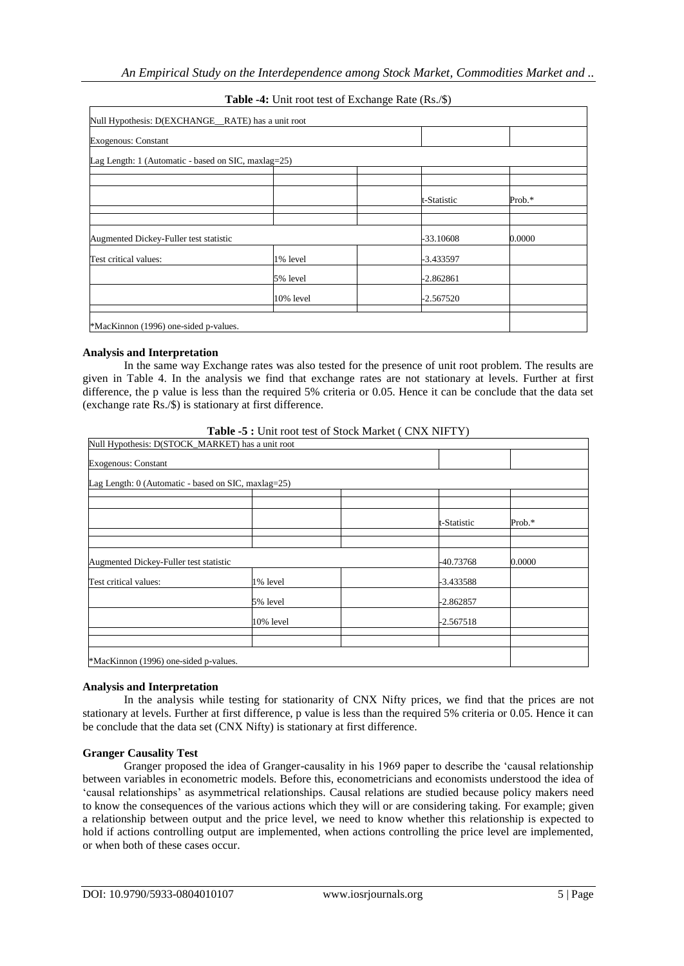| Null Hypothesis: D(EXCHANGE_RATE) has a unit root   |           |             |        |
|-----------------------------------------------------|-----------|-------------|--------|
| <b>Exogenous: Constant</b>                          |           |             |        |
| Lag Length: 1 (Automatic - based on SIC, maxlag=25) |           |             |        |
|                                                     |           |             |        |
|                                                     |           |             |        |
|                                                     |           | t-Statistic | Prob.* |
|                                                     |           |             |        |
|                                                     |           |             |        |
| Augmented Dickey-Fuller test statistic              |           | -33.10608   | 0.0000 |
| Test critical values:                               | 1% level  | -3.433597   |        |
|                                                     | 5% level  | $-2.862861$ |        |
|                                                     | 10% level | $-2.567520$ |        |
|                                                     |           |             |        |
| *MacKinnon (1996) one-sided p-values.               |           |             |        |

# **Table -4:** Unit root test of Exchange Rate (Rs./\$)

## **Analysis and Interpretation**

In the same way Exchange rates was also tested for the presence of unit root problem. The results are given in Table 4. In the analysis we find that exchange rates are not stationary at levels. Further at first difference, the p value is less than the required 5% criteria or 0.05. Hence it can be conclude that the data set (exchange rate Rs./\$) is stationary at first difference.

**Table -5 :** Unit root test of Stock Market ( CNX NIFTY)

| Null Hypothesis: D(STOCK_MARKET) has a unit root    |           |             |        |  |
|-----------------------------------------------------|-----------|-------------|--------|--|
| <b>Exogenous: Constant</b>                          |           |             |        |  |
| Lag Length: 0 (Automatic - based on SIC, maxlag=25) |           |             |        |  |
|                                                     |           |             |        |  |
|                                                     |           |             |        |  |
|                                                     |           | t-Statistic | Prob.* |  |
|                                                     |           |             |        |  |
| Augmented Dickey-Fuller test statistic              |           | -40.73768   | 0.0000 |  |
| Test critical values:                               | 1% level  | $-3.433588$ |        |  |
|                                                     | 5% level  | -2.862857   |        |  |
|                                                     | 10% level | $-2.567518$ |        |  |
|                                                     |           |             |        |  |
|                                                     |           |             |        |  |
| *MacKinnon (1996) one-sided p-values.               |           |             |        |  |

#### **Analysis and Interpretation**

In the analysis while testing for stationarity of CNX Nifty prices, we find that the prices are not stationary at levels. Further at first difference, p value is less than the required 5% criteria or 0.05. Hence it can be conclude that the data set (CNX Nifty) is stationary at first difference.

#### **Granger Causality Test**

Granger proposed the idea of Granger-causality in his 1969 paper to describe the 'causal relationship between variables in econometric models. Before this, econometricians and economists understood the idea of 'causal relationships' as asymmetrical relationships. Causal relations are studied because policy makers need to know the consequences of the various actions which they will or are considering taking. For example; given a relationship between output and the price level, we need to know whether this relationship is expected to hold if actions controlling output are implemented, when actions controlling the price level are implemented, or when both of these cases occur.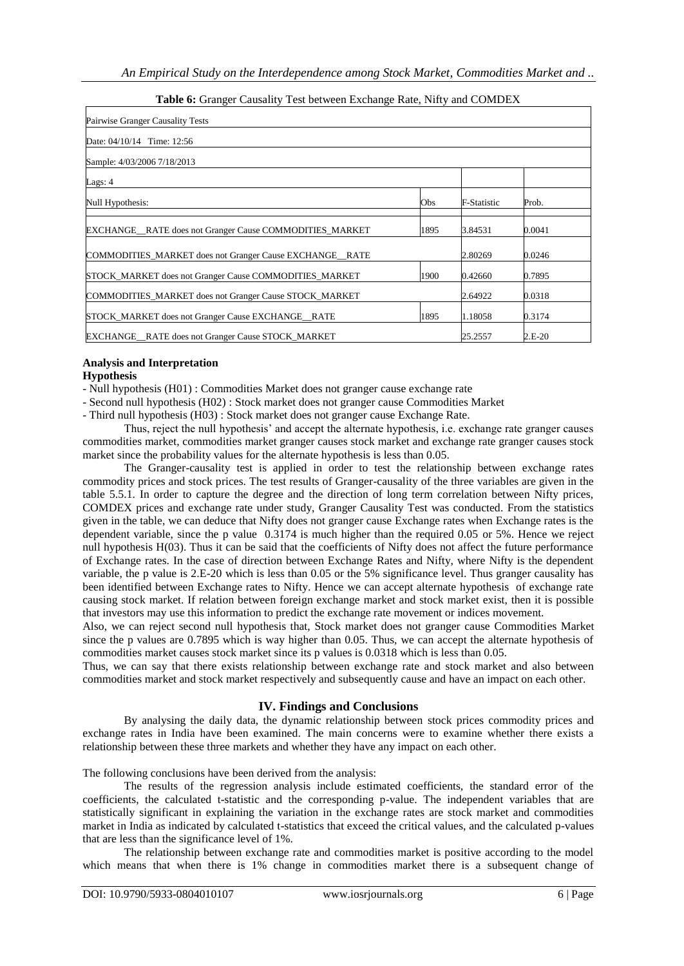| Pairwise Granger Causality Tests                                       |      |                    |        |
|------------------------------------------------------------------------|------|--------------------|--------|
| Date: $04/10/14$ Time: 12:56                                           |      |                    |        |
| Sample: 4/03/2006 7/18/2013                                            |      |                    |        |
| Lags: $4$                                                              |      |                    |        |
| Null Hypothesis:                                                       | Obs  | <b>F-Statistic</b> | Prob.  |
| <b>EXCHANGE</b> RATE does not Granger Cause COMMODITIES MARKET         | 1895 | 3.84531            | 0.0041 |
| COMMODITIES_MARKET does not Granger Cause EXCHANGE_RATE                |      | 2.80269            | 0.0246 |
| STOCK_MARKET does not Granger Cause COMMODITIES_MARKET                 | 1900 | 0.42660            | 0.7895 |
| COMMODITIES_MARKET does not Granger Cause STOCK_MARKET                 |      |                    | 0.0318 |
| STOCK MARKET does not Granger Cause EXCHANGE RATE                      | 1895 | 1.18058            | 0.3174 |
| EXCHANGE_RATE does not Granger Cause STOCK_MARKET<br>2.E-20<br>25.2557 |      |                    |        |

# **Table 6:** Granger Causality Test between Exchange Rate, Nifty and COMDEX

## **Analysis and Interpretation**

#### **Hypothesis**

- Null hypothesis (H01) : Commodities Market does not granger cause exchange rate

- Second null hypothesis (H02) : Stock market does not granger cause Commodities Market

- Third null hypothesis (H03) : Stock market does not granger cause Exchange Rate.

Thus, reject the null hypothesis' and accept the alternate hypothesis, i.e. exchange rate granger causes commodities market, commodities market granger causes stock market and exchange rate granger causes stock market since the probability values for the alternate hypothesis is less than 0.05.

The Granger-causality test is applied in order to test the relationship between exchange rates commodity prices and stock prices. The test results of Granger-causality of the three variables are given in the table 5.5.1. In order to capture the degree and the direction of long term correlation between Nifty prices, COMDEX prices and exchange rate under study, Granger Causality Test was conducted. From the statistics given in the table, we can deduce that Nifty does not granger cause Exchange rates when Exchange rates is the dependent variable, since the p value 0.3174 is much higher than the required 0.05 or 5%. Hence we reject null hypothesis H(03). Thus it can be said that the coefficients of Nifty does not affect the future performance of Exchange rates. In the case of direction between Exchange Rates and Nifty, where Nifty is the dependent variable, the p value is 2.E-20 which is less than 0.05 or the 5% significance level. Thus granger causality has been identified between Exchange rates to Nifty. Hence we can accept alternate hypothesis of exchange rate causing stock market. If relation between foreign exchange market and stock market exist, then it is possible that investors may use this information to predict the exchange rate movement or indices movement.

Also, we can reject second null hypothesis that, Stock market does not granger cause Commodities Market since the p values are 0.7895 which is way higher than 0.05. Thus, we can accept the alternate hypothesis of commodities market causes stock market since its p values is 0.0318 which is less than 0.05.

Thus, we can say that there exists relationship between exchange rate and stock market and also between commodities market and stock market respectively and subsequently cause and have an impact on each other.

# **IV. Findings and Conclusions**

By analysing the daily data, the dynamic relationship between stock prices commodity prices and exchange rates in India have been examined. The main concerns were to examine whether there exists a relationship between these three markets and whether they have any impact on each other.

The following conclusions have been derived from the analysis:

The results of the regression analysis include estimated coefficients, the standard error of the coefficients, the calculated t-statistic and the corresponding p-value. The independent variables that are statistically significant in explaining the variation in the exchange rates are stock market and commodities market in India as indicated by calculated t-statistics that exceed the critical values, and the calculated p-values that are less than the significance level of 1%.

The relationship between exchange rate and commodities market is positive according to the model which means that when there is 1% change in commodities market there is a subsequent change of